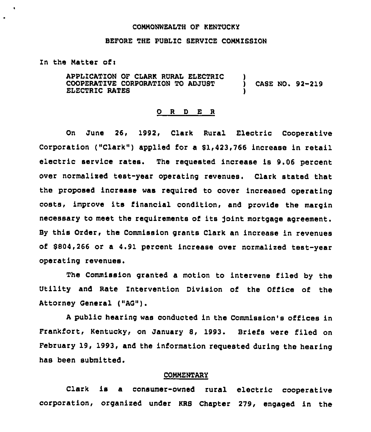#### COMMONWEALTH OF KENTUCKY

## BEFORE THE PUBLIC SERVICE COMMISSION

In the Matter of:

 $\bullet$ 

APPLICATION OF CLARK RURAL ELECTRIC COOPERATIVE CORPORATION TO ADJU8T ELECTRIC RATEB ) CASE NO. 92-219 )

#### 0 <sup>R</sup> <sup>D</sup> E <sup>R</sup>

On June 26, 1992, Clark Rural Electric Cooperative Corporation ("Clark") applied for a \$1,423,766 increase in retail electric service rates. The reguested increase is 9.06 percent over normalised test-year operating revenues. Clark stated that the proposed increase was reguired to cover increased operating costs, improve its financial condition, and provide the margin necessary to meet the reguirements of its )oint mortgage agreement. By this Order, the Commission grants Clark an increase in revenues of \$ 804,266 or a 4.91 percent increase over normalized test-year operating revenues.

The Commission granted a motion to intervene filed by the Utility and Rate Intervention Division of the Office of the Attorney General ("AQ").

<sup>A</sup> public hearing was conducted in the Commission's offices in Frankfort, Kentucky, on January 8, 1993. Briefs were filed on February 19, 1993, and the information requested during the hearing has been submitted.

#### COMMENTARY

Clark is a consumer-owned rural electric cooperative corporation< organized under KRS Chapter 279, engaged in the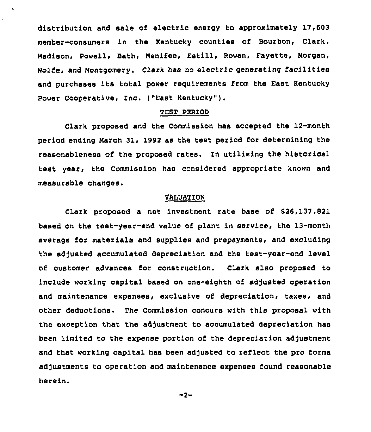distribution and sale of electric energy to approximately 17,603 member-consumers in the Kentucky counties of Bourbon, Clark, Madison, Powell, Bath, Nenifee, Estill, Rowan, Fayette, Morgan, Wolfe, and Montgomery. Clark has no electric generating facilities and purchases its total power reguirements from the East Kentucky Power Cooperative, Inc. ("East Kentucky" ).

#### TEST PERIOD

Clark proposed and the Commission has accepted the 12-month period ending March 31, 1992 as the test period for determining the reasonableness of the proposed rates. In utilixing the historical test year, the Commission has considered appropriate known and measurable changes.

#### VALUATION

Clark proposed a net investment rate base of \$26,137,821 based on the test-year-end value of plant in service< the 13-month average for materials and supplies and prepayments, and excluding the adjusted accumulated depreciation and the test-year-end level of customer advances for construction. Clark also proposed to include working capital based on one-eighth of adjusted operation and maintenance expenses, exclusive of depreciation, taxes, and other deductions. The Commission concurs with this proposal with the exception that the adjustment to accumulated depreciation has been limited to the expense portion of the depreciation adjustment and that working capital has been adjusted to reflect the pro forms adjustments to operation and maintenance expenses found reasonable herein.

 $-2-$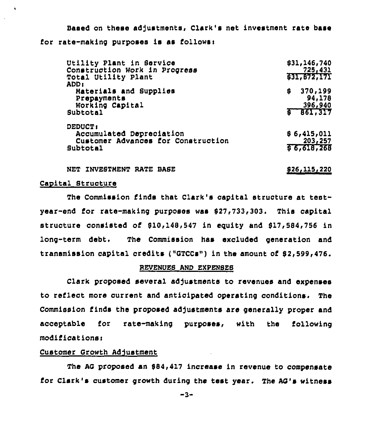Based on these adjustments, Clark's net investment rate base for rate-making purposes is as follower

| Utility Plant in Service<br>Construction Work in Progress<br>Total Utility Plant<br>ADD 1    | \$31,146,740<br>725,431<br>631,872,171         |
|----------------------------------------------------------------------------------------------|------------------------------------------------|
| Materials and Supplies<br>Prepayments<br>Working Capital<br>Subtotal                         | 370,199<br>\$<br>94,178<br>396,940<br>6 65.317 |
| <b>DEDUCT:</b><br>Accumulated Depreciation<br>Customer Advances for Construction<br>Subtotal | \$6,415,011<br>203, 257<br>56,618,268          |

NET INVESTMENT RATE BASE 826, 115, 220

#### Capital Structure

 $\ddot{\phantom{a}}$ 

The Commission finds that Clark's capital structure at testyear-end ior rate-making purposes was 827,733,303. This capital structure consisted of 810,148,547 in equity and 817,584,756 in long-term debt. The Commission has excluded generation and transmission capital credits ("GTCCs") in the amount of 82,599,476.

#### REVENUES AND EXPENSES

Clark proposed several adjustments to revenues and expenses to reflect more current and anticipated operating conditions. The Commission finds the proposed adjustments are generally proper and acceptable for rate-making purposes, with the following modificationss

#### Customer Growth Adjustment

The AG proposed an \$84,417 increase in revenue to compensate for Clark's customer growth during the test year. The AG's witness

-3-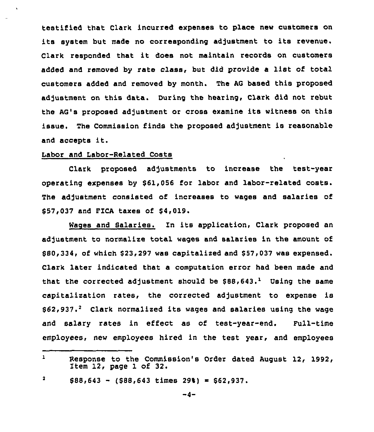testified that Clark incurred expenses to place new customers on its system but made no corresponding adjustment to its revenue. Clark responded that it does not maintain records on customers added and removed by rate class, but did provide <sup>a</sup> list of total customers added and removed by month. The AG based this proposed adjustment on this data. During the hearing, Clark did not rebut the AG's proposed adjustment or cross examine its witness on this issue. The Commission finds the proposed adjustment is reasonable and accepts it.

## Labor and Labor-Related Costs

Clark proposed adjustments to increase the test-year operating expenses by \$61,056 for labor and labor-related costs. The adjustment consisted of increases to wages and salaries of \$ 57,037 and FICA taxes of \$4,019.

Wages and Salaries. In its application, Clark proposed an adjustment to normalize total wages and salaries in the amount of \$80,334, of which \$23,297 was capitalized and \$57,037 was expensed. Clark later indicated that a computation error had been made and that the corrected adjustment should be  $$88,643.^1$  Using the same capitalization rates, the corrected adjustment to expense is  $$62,937.<sup>2</sup>$  Clark normalized its wages and salaries using the wage and salary rates in effect as of test-year-end. Full-time employees, new employees hired in the test year, and employees

 $\mathbf{L}$ Response to the Commission's Order dated August 12, 1992, Item 12, page 1 of 32.

<sup>2</sup>  $$88,643 - (588,643 \times 298) = $62,937.$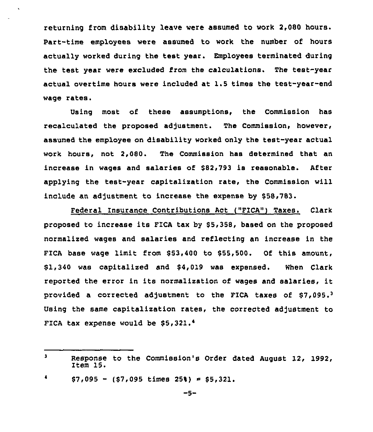returning from disability leave were assumed to work 2,080 hours. Part-time employees were assumed to work the number of hours actually worked during the test year. Employees terminated during the test year were excluded from the calculations. The test-year actual overtime hours were included at 1.5 times the test-year-end wage rates.

 $\ddot{\phantom{a}}$ 

Using most of these assumptions, the Commission has recalculated the proposed adjustment. The Commission, however, assumed the employee on disability worked only the test-year actual work hours, not 2,080. The Commission has determined that an increase in wages and salaries of \$82,793 is reasonable. After applying the test-year capitalization rate, the Commission will include an adjustment to increase the expense by \$58,783.

Federal Insurance Contributions Act ("PICA") Taxes. Clark proposed to increase its FICA tax by \$5,358, based on the proposed normalized wages and salaries and reflecting an increase in the FICA base wage limit from \$ 53,400 to \$55,500. Of this amount, \$1,340 was capitalized and \$4,019 was expensed. When Clark reported the error in its normalization of wages and salaries, it provided a corrected adjustment to the FICA taxes of  $$7,095.^3$ Using the same capitalization rates, the corrected adjustment to FICA tax expense would be  $$5,321.*$ 

 $\mathbf{3}$ Response to the Commission's Order dated August 12, 1992, Item 15.

 $$7,095 - (57,095 \text{ times } 25\}) = $5,321.$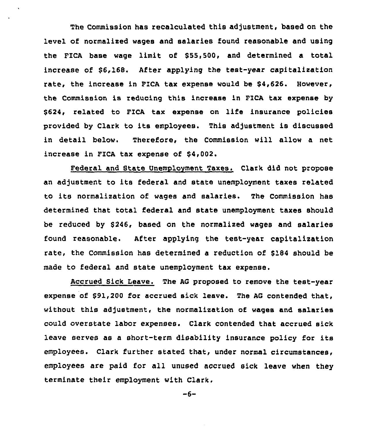The Commission has recalculated this adjustment, based on the level of normalized wages and salaries found reasonable and using the FICA base wage limit of \$55,500, and determined a total increase of \$6,16B. After applying the test-year capitalization rate, the increase in PICA tax expense would be \$4,626. However, the Commission is reducing this increase in FICA tax expense by \$624, related to FICA tax expense on life insurance policies provided by Clark to its employees. This adjustment is discussed in detail below. Therefore, the Commission will allow a net increase in PICA tax expense of \$4,002.

Federal and State Unemployment Taxes. Clark did not propose an adjustment to its federal and state unemployment taxes related to its normalization of wages and salaries. The Commission has determined that total federal and state unemployment taxes should be reduced by \$246, based on the normalized wages and salaries found reasonable. After applying the test-year capitalization rate, the Commission has determined a reduction of \$184 should be made to federal and state unemployment tax expense.

Accrued Sick Leave. The AG proposed to remove the test-year expense of \$91,200 for accrued sick leave. The AG contended that, without this adjustment, the normalization of wages and salaries could overstate labor expenses. Clark contended that accrued sick leave serves as a short-term disability insurance policy for its employees. Clark further stated that, under normal circumstances, employees are paid for all unused accrued sick leave when they terminate their employment with Clark,

 $-6-$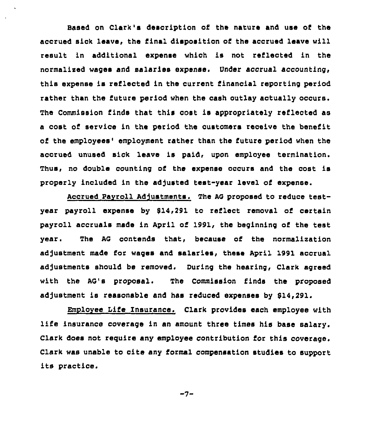aased on Clark's description of the nature and use of the accrued sick leave, the final disposition of the accrued leave will result in additional expense which is not reflected in the normalised wages and salaries expense. Under acorual accounting, this expense is reflected in the current financial reporting period rather than the future period when the cash outlay actually occurs. The Commission finds that this cost is appropriately reflected as a cost of service in the period the customers reoeive the benefit of the employees' employment rather than the future period when the acorued unused sick leave is paid, upon employee termination. Thus, no double counting of the expense occurs and the cost is properly included in the adjusted test-year level of expense.

Accrued Pavroll Adjustments. The AG proposed to reduce testyear payroll expense by 914,291 to reflect removal of certain payroll accruals made in April of 1991, the beginning of the test year. The AG contends that, because of the normalization adjustment made for wages and salaries, these April 1991 accrual adjustments should be removed. During the hearing, Clark agreed with the AG's proposal. The Commission finds the proposed adjustment is reasonable and has reduced expenses by \$14,291.

Employee Life Insurance. Clark provides each employee with life insurance coverage in an amount three times his base salary. Clark does not require any employee contribution for this coverage. Clark was unable to cite any formal compensation studies to support its practice.

 $-7-$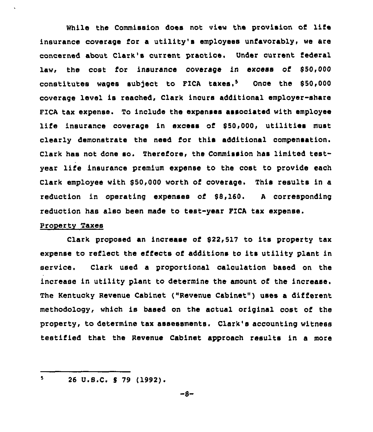While the Commission does not view the provision of life insurance coverage for a utility's employees unfavorably, we are concerned about Clark's current praotioe. Under current federal law, the cost for insurance coverage in excess of \$50,000 constitutes wages subject to FICA taxes. $5$  Once the \$50,000 coverage level is reached, Clark incurs additional employer-share FIcA tax expense. To include the expenses associated with employee life insurance coverage in excess of \$50,000, utilities must clearly demonstrate the need for this additional compensation. Clark has not done so. Therefore, the Commission has limited testyear life insurance premium expense to the cost to provide each Clark employee with \$50,000 worth of coverage. This results in a reduction in operating expenses of  $$8,160$ . A corresponding reduction has also been made to test-year PICA tax expense.

## Property Taxes

Clark proposed an increase of \$22,517 to its property tax expense to reflect the effects of additions to its utility plant in service. Clark used a proportional calculation based on the increase in utility plant to determine the amount of the increase. The Kentucky Revenue Cabinet ("Revenue Cabinet" ) uses <sup>a</sup> different methodology, which is based on the actual original cost of the property, to determine tax assessments. Clark's accounting witness testified that the Revenue Cabinet approach results in a more

 $5 -$ 26 U.S.C. \$ 79 (1992).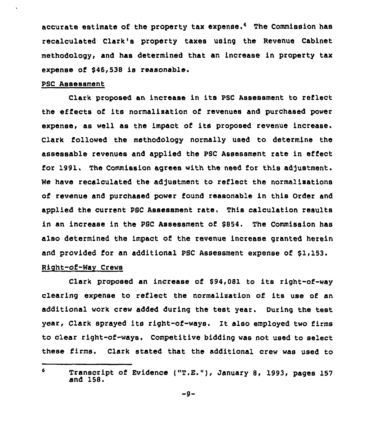accurate estimate of the property tax expense.<sup>6</sup> The Commission has recalculated Clark's property taxes using the Revenue Cabinet methodology, and has determined that an increase in property tax expense of \$46,538 is reasonable.

## PSC Assessment

Clark proposed an increase in its psC Assessment to reflect the effects of its normalization of revenues and purchased power expense, as well as the impact of its proposed revenue increase. Clark followed the methodology normally used to determine the assessable revenues and applied the PSC Assessment rate in effect for 1991. The Commission agrees with the need for this adjustment. We have recalculated the adjustment to reflect the normalizations of revenue and purchased power found reasonable in this Order and applied the current PSC Assessment rate. This calculation results in an increase in the PSC Assessment of \$854. The Commission has also determined the impact of the revenue increase granted herein and provided for an additional PSC Assessment expense of 81,153.

# Right-of-Way Crews

Clark proposed an increase of \$94,081 to its right-of-way clearing expense to reflect the normalization of its use of an additional work crew added during the test year. During the test year, Clark sprayed its right-of-ways. Zt also employed two firms to clear right-of-ways. Competitive bidding was not used to select these firms. Clark stated that the additional crew was used to

<sup>6</sup> Transcript of Evidence ("T.E."), January 8, 1993, pages 157 and 158.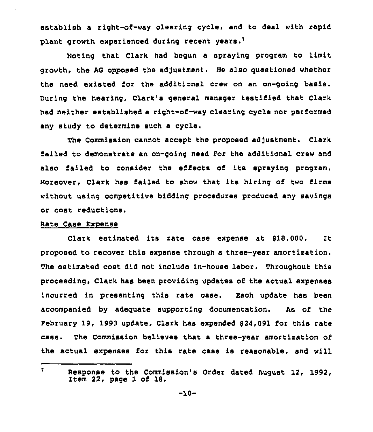establish a right-of-way clearing cycle, and to deal with rapid plant growth experienced during recent years.<sup>7</sup>

Noting that Clark had begun a spraying program to limit growth, the AG opposed the adjustment. He also questioned whether the need existed for the additional crew on an on-going basis. During the hearing, Clark's general manager testified that Clark had neither established a right-of-way clearing cycle nor performed any study to determine such a oycle.

The Commission cannot accept the proposed adjustment. Clark failed to demonstrate an on-going need for the additional crew and also failed to consider the effects of its spraying program. Moreover, Clark has failed to show that its hiring of two firms without using competitive bidding procedures produced any savings or cost reductions.

## Rate Case ExPense

Clark estimated its rate case expense at \$18,000. It proposed to recover this expense through a three-year amortization. The estimated cost did not include in-house labor. Throughout this proceeding, Clark has been providing updates of the actual expenses incurred in presenting this rate case. Each update has been accompanied by adeguate supporting documentation. As of the February 19, 1993 update, Clark has expended \$24,091 for this rate case. The Commission believes that a three-year amortization of the actual expenses for this rate case is reasonable, and will

 $\mathbf{7}$ Response to the Commission's Order dated August 12, 1992, Item 22, page 1 of 18.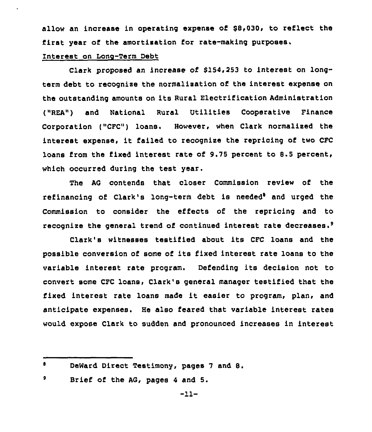allow an increase in operating expense of \$8,030, to reflect the first year of the amortization for rate-making purposes.

## interest on Long-Term Debt

Clark proposed an increase of \$154,253 to interest on longterm debt to recognise the normalisation of the interest expense on the outstanding amounts on its Rural Electrification Administration ("REA") and National Rural Utilities Cooperative Finance Corporation ("CFC") loans. However, when Clark normalised the interest expense, it failed to recognise the repricing of two CFC loans from the fixed interest rate of 9.75 percent to 8.5 percent, which occurred during the test year.

The AG contends that closer Commission review of the refinancing of Clark's long-term debt is needed<sup>8</sup> and urged the Commission to consider the effects of the repricing and to recognize the general trend of continued interest rate decreases.<sup>9</sup>

Clark's witnesses testified about its CFC loans and the possible conversion of some of its fixed interest rate loans to the variable interest rate program. Defending its decision not to convert some CFC loans, Clark's general manager testified that the fixed interest rate loans made it easier to program, plan, and anticipate expenses. He also feared that variable interest rates would expose Clark to sudden and pronounced increases in interest

 $\bullet$ DeWard Direct Testimony, pages 7 and 8.

<sup>9</sup> Brief of the AG, pages <sup>4</sup> and 5.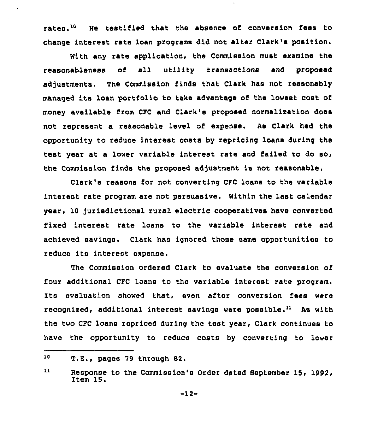rates.<sup>10</sup> He testified that the absence of conversion fees to change interest rate loan programs did not alter Clark's position.

With any rate application, the Commission must examine the reasonableness of all utility transactions and proposed adjustments. The Commission finds that Clark has not reasonably managed its loan portfolio to take advantage of the lowest cost of money avallabla from CFC and Clark's proposed normalization does not represent a reasonable level of expense. As Clark had the opportunity to reduce interest costs by repricing loans during the test year at a lower variable interest rate and failed to do so, the Commission finds the proposed adjustment is not reasonable.

Clark's reasons l'or not converting CFC loans to tha variable interest rate program are not persuasive. Within the last calendar year, 10 jurisdictional rural electric cooperatives have converted fixed interest rate loans to the variable interest rate and achieved savings. Clark has ignored those same opportunities to reduce its interest expense.

The Commission ordered Clark to evaluate the conversion of four additional CFC loans to the variable interest rats program. Its evaluation showed that, even after conversion fees were recognized, additional interest savings were possible.<sup>11</sup> As with the two CFC loans repriced during the test year, Clark continues to have the opportunity to reduce costs by converting to lower

<sup>10</sup> T.E., pages 79 through 82.

zl Response to the Commission's Order dated Beptember 15, 1992, item 15.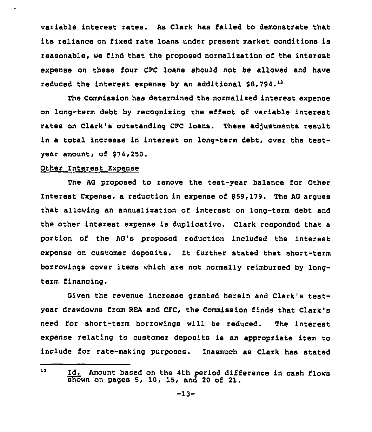variable interest rates. As Clark has failed to demonstrate that its reliance on fixed rate loans under present market conditions is reasonable, we find that the proposed normalixation of the interest expense on these four CFC loans should not be allowed and have reduced the interest expense by an additional \$8,794.<sup>12</sup>

The Commission has determined the normalised interest expense on long-term debt by recognixing the effect of variable interest rates on Clark's outstanding CFC loans. These adjustments result in a total increase in interest on long-term debt, over the testyear amount, of \$74,250.

## Other Interest Exoense

The AG proposed to remove the test-year balance for Other Interest Expense, a reduction in expense of \$59,179. The AG arques that allowing an annualixation of interest on long-term debt and the other interest expense is duplicative. Clark responded that a portion of the AG's proposed reduction included the interest expense on customer deposits. It further stated that short-term borrowings cover items which are not normally reimbursed by longterm financing.

Given the revenue increase granted herein and Clark's testyear drawdowns from REA and CFC, the Commission finds that Clark's need for short-term borrowings will be reduced. The interest expense relating to customer deposits is an appropriate item to include for rate-making purposes. Inasmuch as Clark has stated

 $12<sub>2</sub>$ ld. Amount based on the 4th period difference in cash flows  $\overline{\text{show}}$  on pages 5, 10, 15, and 20 of 21.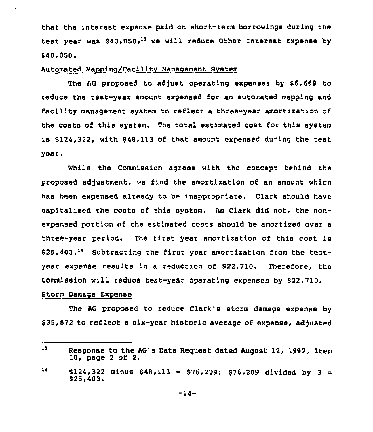that the interest expense paid on short-term borrowings during the test year was \$40,050,<sup>13</sup> we will reduce Other Interest Expense by  $$40.050.$ 

#### Automated Nappinc/Facility Management System

The AG proposed to adjust operating expenses by \$6,669 to reduce the test-year amount expensed for an automated mapping and facility management system to reflect a throe-year amortization of the costs of this system. The total estimated cost for this system is \$124,322, with \$48,113 of that amount expensed during the test year.

While the Commission agrees with the concept behind the proposed adjustment, we find the amortization of an amount which has been expensed already to be inappropriate. Clark should have capitalized the costs of this system. As Clark did not, the nonexpensed portion of the estimated costs should be amortized over a three-year period. The first year amortization of this cost is  $$25,403.^{14}$  Subtracting the first year amortization from the testyear expense results in a reduction of \$22,710. Therefore, the Commission will reduce test-year operating expenses by \$22,710.

## Storm Damage Expense

 $\ddot{\phantom{a}}$ 

The AG proposed to reduce Clark's storm damage expense by \$ 35,872 to reflect a six-year historic average of expense, adjusted

 $13<sub>1</sub>$ Response to the AG's Data Request dated August 12, 1992, Item 10, page 2 of 2.

 $14$  $$124,322$  minus  $$48,113 = $76,209; $76,209$  divided by 3 = \$25,403.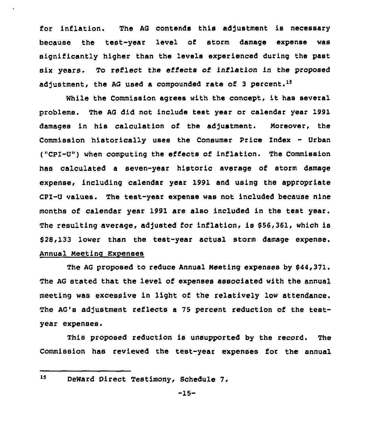for inflation. The AG contends this adjustment is necessary because the test-year level of storm damage expense was significantly higher than the levels experienced during the past six years. To reflect the effects of inflation in the proposed adjustment, the AG used a compounded rate of 3 percent.<sup>15</sup>

While the Commission agrees with the concept, it has several problems. The AG did not include test year or calendar year 1991 damages in his calculation of the adjustment. Noreover, the Commission historically uses the Consumer Price Index - Urban ("CPI-U") when computing the ei'fects of inflation. The Commission has calculated a seven-year historic average of storm damage expense, including calendar year 1991 and using the appropriate CPI-U values. The test-year expense was not included because nine months of calendar year 1991 are also included in the test year. The resulting average, adjusted for inflation, is 956,361, which is 928,133 lower than the test-year actual storm damage expense. Annual Meeting Expenses

The AG proposed to reduce Annual Meeting expenses by 944,371. The AG stated that the level of expenses associated with the annual meeting was excessive in light of the relatively low attendance. The AG's adjustment reflects a 75 percent reduction of the testyear expenses.

This proposed reduction is unsupported by the record. The Commission has reviewed the test-year expenses for the annual

<sup>15</sup> DeWard Direct Testimony, Schedule 7.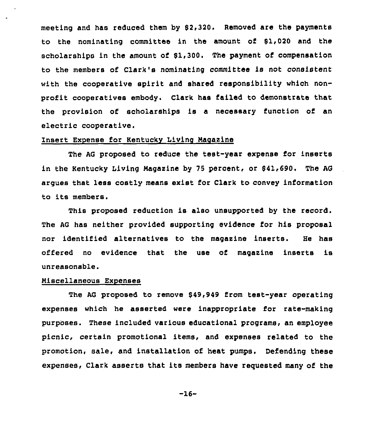meeting and has reduced them by 92,320. Removed are the payments to the nominating committee in the amount of 91,020 and the scholarships in the amount of \$1,300. The payment of compensation to the members of Clark's nominating committee is not consistent with the cooperative spirit and shared responsibility which nonprofit cooperatives embody. Clark has failed to demonstrate that the provision of scholarships is a necessary function of an electric cooperative.

## Insert Expense for Kentucky Living Magazine

The AG proposed to reduce the test-year expense for inserts in the Kentucky Living Magazine by 75 percent, or \$41,690. The AG argues that less costly means exist for Clark to convey information to its members.

This proposed reduction is also unsupported by the record. The AG has neither provided supporting evidence for his proposal nor identified alternatives to the magazine inserts. He has offered no evidence that the use of magazine inserts is unreasonable.

## Miscellaneous Expenses

The AG proposed to remove \$49,949 from test-year operating expenses which he asserted were inappropriate for rate-making purposes. These included various educational programs, an employee picnic, certain promotional items, and expenses related to the promotion, sale, and installation of heat pumps. Defending these expenses, Clark asserts that its members have requested many of the

-16-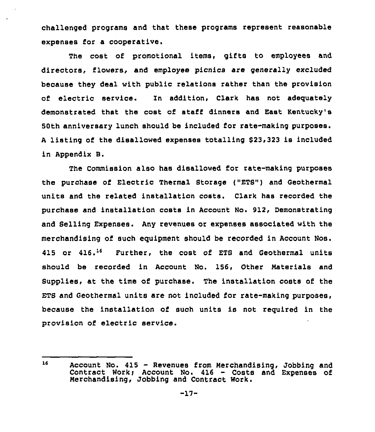challenged programs and that these programs represent reasonable expenses for a cooperative.

The cost of promotional items, gifts to employees and directors, flowers, and employee picnics are generally excluded because they deal with public relations rather than the provision of electric service. Zn addition, Clark has not adequately demonstrated that the cost of staff dinners and East Kentucky's 50th anniversary lunch should be included for rate-making purposes. A listing of the disallowed expenses totalling \$23,323 is included in Appendix B.

The Commission also has disallowed for rate-making purposes the purchase of Electric Thermal Storage ("ETS") and Geothermal units and the related installation costs. Clark has recorded the purchase and installation costs in Account No. 912, Demonstrating and Selling Expenses. Any revenues or expenses associated with the merchandising of such equipment should be recorded in Account Nos. 415 or 416.<sup>16</sup> Further, the cost of ETS and Geothermal units should be recorded in Account No. 156, Other Materials and Supplies, at the time of purchase. The installation costs of the ETS and Geothermal units are not included for rate-making purposes, because the installation of such units is not required in the provision of electric service.

<sup>16</sup> Account No. 415 — Revenues from Merchandising, Jobbing and Contract Work; Account No. 416 - Costs and Expenses of Merchandising, Jobbing and Contract Work.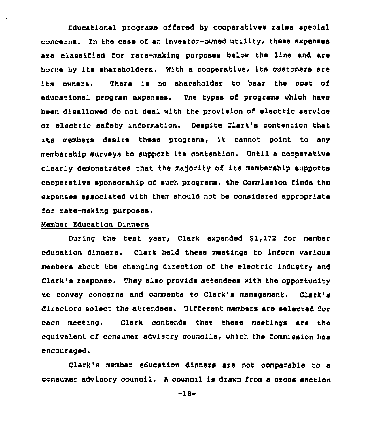Educational programs offered by cooperatives raise special concerns. In the case of an investor-owned utility, these expenses are classified for rate-making purposes below the line and are borne by its shareholders. With a oooperative, its customers are its owners. There is no shareholder to bear the cost of educational program expenses. The types of programs which have been disallowed do not deal with the provision of electric servioe or electric safety information. Despite Clark's contention that its members desire these programs, it cannot point to any membership surveys to support its contention, Until a cooperative clearly demonstrates that the majority of its membership supports cooperative sponsorship of such programs, the Commission finds the expenses associated with tham should not be considered appropriate for rate-making purposes.

#### Member Education Dinners

During the test year, Clark expended \$1,172 for member education dinners. Clark held these meetings to inform various members about the changing direction of the electric industry and Clark's response. They also provide attendees with the opportunity to convey concerns and comments to Clark's management. Clark's directors select the attendees. Different members are selected for each meeting. Clark contends that these meetings are the equivalent of consumer advisory councils, which the Commission has encouraged.

Clark's member education dinners are not comparable to a consumer advisory council. A council is drawn from a cross section

-ls-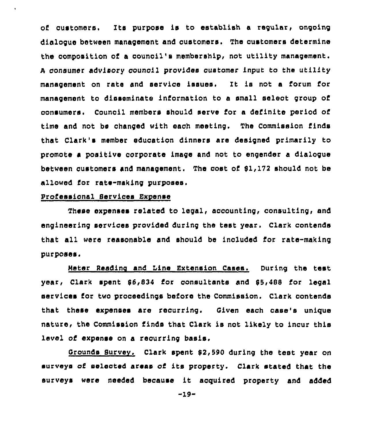of customers, Its purpose is to establish a regular, ongoing dialogue between management and customers. The customers determine the composition of a council's membership, not utility management. <sup>A</sup> consumer advisory council provides customer input to the utility management on rate and service issues. It is not a forum for management to disseminate information to a small select group of consumers. Council members should serve for a definite period of time and not be changed with each meeting. The Commission finds that Clark's member education dinners are designed primarily to promote a positive corporate image and not to engender a dialogue between customers and management. The cost of 81,172 should not be allowed ior rate-making purposes,

## professional Services Expense

 $\ddot{\phantom{0}}$ 

These expenses related to legal, accounting, consulting, and engineering services provided during the test year. Clark contends that all were reasonable and should be included for rate-making  $pur$ poses.

Meter Reading and Line Extension Cases. During the test year, Clark spent \$6,834 for consultants and \$5,488 for legal services for two proceedings before the Commission. Clark contends that these expenses are recurring. Given each case's unique nature, the Commission finds that Clark is not likely to incur this level of expense on a recurring basis.

Grounds Survev. Clark spent 82,590 during the test year on surveys of selected areas of its property. Clark stated that the surveys were needed because it acquired property and added

-19-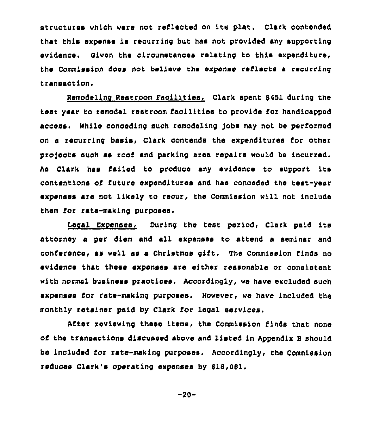structures which were not reflected on its plat. Clark contended that this expense is recurring but has not provided any supporting evidence. Given the circumstances relating to this expenditure, the Commission does not believe the expense reflects a recurring transaction.

Remodelinc Restroom Facilities. Clark spent 8451 during the test year to remodel restroom facilities to provide for handicapped access. While conoeding such remodeling Jobs may not be performed on a recurring basis, Clark contends the expenditures for other projects such as roof and parking area repairs would be incurred. As Clark has failed to produce any evidence to support its contentions of future expenditures and has conceded the test-year expenses are not likely to recur, the Commission will not include them for rate-making purposes,

Legal Expenses. During the test period, Clark paid its attorney a per diem and all expenses to attend a seminar and oonference, as well as a Christmas gift, The Commission finds no evidence that these expenses are either reasonable or consistent with normal business practices. Accordingly, we have excluded such expenses for rate-making purposes. However, we have included the monthly retainer paid by Clark for legal services.

After reviewing these items, the Commission finds that none of the transactions discussed above and listed in Appendix <sup>B</sup> should be included for rate-making purposes. Accordingly, the Commission reduces Clark's operating expenses by 818,081.

 $-20-$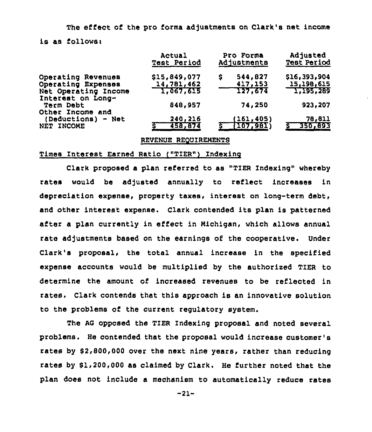The effect of the pro forma adjustments on Clark's net income is as follows:

|                                           | Actual<br><b>Test Period</b> | Pro Forma<br>Adjustments | Adjusted<br><b>Test Period</b> |
|-------------------------------------------|------------------------------|--------------------------|--------------------------------|
| Operating Revenues                        | \$15,849,077                 | 544,827<br>\$            | \$16,393,904                   |
| Operating Expenses                        | 14,781,462                   | 417,153                  | 15,198,615                     |
| Net Operating Income<br>Interest on Long- | 1,067,615                    | 127,674                  | 1,195,289                      |
| <b>Term Debt</b><br>Other Income and      | 848,957                      | 74,250                   | 923,207                        |
| (Deductions) - Net                        | 240,216                      | (161, 405)               | 78,811                         |
| NET INCOME                                | 458,874                      | <u>(107,981)</u>         | 350,893                        |

REVENUE REQUIREMENTS

#### Times Interest Earned Ratio ("TIER" ) Indexing

Clark proposed a plan referred to as "TIER Indexing" whereby rates would be adjusted annually to reflect increases in depreciation expense, property taxes, interest on long-term debt, and other interest expense. Clark contended its plan is patterned after a plan currently in effect in Michigan, which allows annual rate adjustments based on the earnings of the cooperative. Under Clark's proposal, the total annual increase in the specified expense accounts would be multiplied by the authorised TIER to determine the amount of increased revenues to be reflected in rates. Clark contends that this approach is an innovative solution to the problems of the current regulatory system.

The AG opposed the TIER Indexing proposal and noted several problems. He contended that the proposal would increase customer' rates by \$2,800,000 over the next nine years, rather than reducing rates by \$1,200,000 as claimed by Clark. He further noted that the plan does not include a mechanism to automatically reduce rates

-21-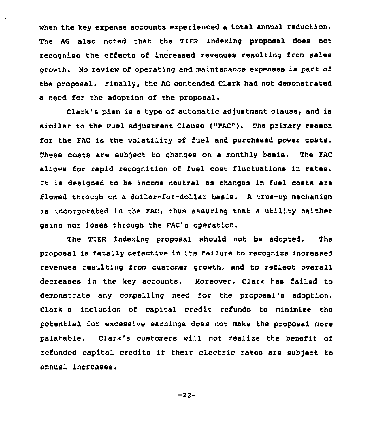when the key expense accounts experienced a total annual reduction. The AG also noted that the TIER Indexing proposal does not recognize the effects of increased revenues resulting from sales growth. No review of operating and maintenance expenses is part of the proposal. Finally, the AG contended Clark had not demonstrated a need for the adoption of the proposal.

Clark's plan is a type of automatic adjustment clause, and is similar to the Fuel Adjustment Clause ("FAC"). The primary reason for the FAC is the volatility of fuel and purchased power costs. These costs are subject to changes on a monthly basis. The FAC allows for rapid recognition of fuel cost fluctuations in rates. It is designed to be income neutral as changes in fuel costs are flowed through on a dollar-for-dollar basis. <sup>A</sup> true-up mechanism is incorporated in the FAC, thus assuring that a utility neither gains nor loses through the FAC's operation.

The TIER Indexing proposal should not be adopted, The proposal is fatally defective in its failure to recognize increased revenues resulting from customer growth, and to reflect overall decreases in the key accounts. moreover, Clark has failed to demonstrate any compelling need for the proposal's adoption. Clark's inclusion of capital credit refunds to minimize the potential for excessive earnings does not make the proposal more palatable. Clark's customers will not realize the benefit of refunded capital credits if their electric rates are subject to annual increases.

-22-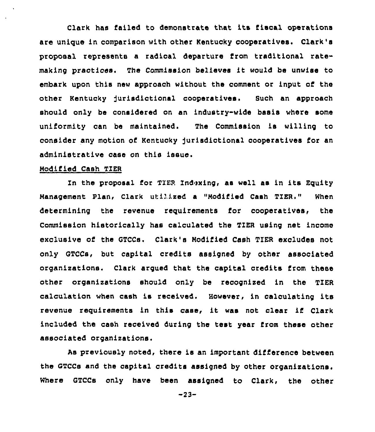Clark has failed to demonstrate that its iiscal operations are unique in comparison with other Kentucky cooperatives. Clark's proposal represents a radical departure from traditional ratemaking practices. The Commission believes it would be unwise to embark upon this new approach without the comment or input of the other Kentucky Jurisdictional cooperatives. Such an approach should only be considered on an industry-wide basis where some uniformity can be maintained. The Commission is willing to consider any motion of Kentucky Jurisdictional cooperatives for an administrative case on this issue.

## Modified Cash TIER

In the proposal for TIER Indexing< as well as in its Equity Management Plan, Clark utilized a "Modified Cash TIER." **When** determining the revenue requirements for cooperatives, the Commission historically has calculated the TIER using net income exclusive of the GTCCs. Clark's Modified Cash TIER excludes not only GTCCs, but capital credits assigned by other associated organixations. Clerk argued that the capital credits from these other organixations should only be recognized in the TIER calculation when cash is received. However, in calculating its revenue requirements in this case, it was not clear if Clark included the cash received during the test year from these other associated organizations.

As previously noted, there is an important difference between the GTCCs and the capital credits assigned by other organixations. Where GTCCs only have been assigned to Clark, the other

-23-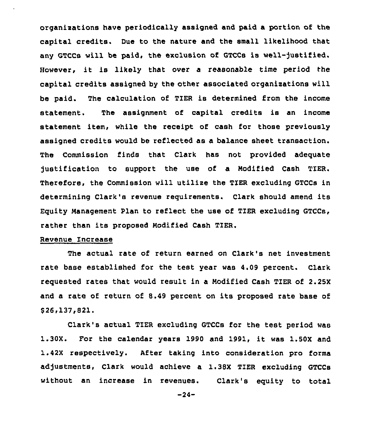organixations have periodically assigned and paid a portion of the capital credits. Due to the nature and the small likelihood that any GTCCs will be paid, the exclusion of GTCCs is well-)ustified. However, it is likely that over <sup>a</sup> reasonable time period the capital credits assigned by the other associated organisations will be paid. The calculation of TIER is determined from the income statement. The assignment of capital credits is an income statement item, while the receipt of cash for those previously assigned credits would be reflected as a balance sheet transaction. The Commission finds that Clark has not provided adequate justification to support the use of a Modified Cash TIER. Therefore, the Commission will utilise the TIER excluding GTCCs in determining Clark's revenue requirements. Clark should amend its Equity Management Plan to reflect the use of TIER excluding GTCCs, rather than its proposed Modified Cash TIER.

## Revenue Increase

The actual rate of return earned on Clark's net investment rate base established for the test year was 4.09 percent. Clark requested rates that would result in a Modified Cash TIER of 2.25X and a rate of return of 8.49 percent on its proposed rate base of \$ 26g137,821.

Clark's actual TIER excluding GTCCs for the test period was 1.30X. For the calendar years <sup>1990</sup> and 1991, it was 1.50X and 1.42X respectively. After taking into consideration pro forms adjustments, Clark would achieve a 1.38X TIER excluding GTCCs without an increase in revenues. Clark's equity to total

 $-24-$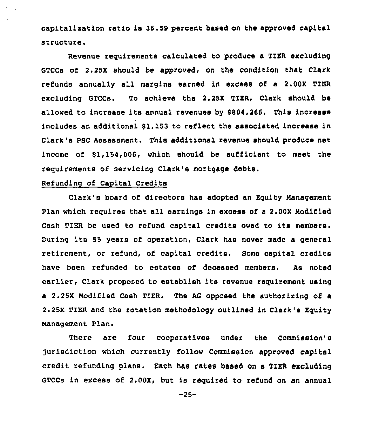capitalixation ratio is 36.59 percent based on the approved capital structure.

Revenue requirements calculated to produce a TIER excluding GTCCs of 2.25X should be approved, on the condition that Clark refunds annually all margins earned in excess of a 2.00X TIER excluding GTCCs. To achieve the 2.25X TIER, Clark should be allowed to increase its annual revenues by \$804,266. This increase includes an additional \$1,153 to reflect the associated increase in Clark's PSC Assessment. This additional revenue should produce net income of \$1,154,006, which should be sufficient to meet the requirements of servicing Clark's mortgage

# Refunding of Capital Credits

Clark's board of directors has adopted an Equity Nanagement Plan which requires that all earnings in excess of <sup>a</sup> 2.00X Nodified Cash TIER be used to refund capital credits owed to its members. During its <sup>55</sup> years of operation, Clark has never made a general retirement, or refund, of capital credits. Some capital credits have been refunded to estates of deceased members. As noted earlier, Clark proposed to establish its revenue requirement using a 2.25X Nodified Cash TIER. The AG opposed the authorising of a 2.25X TIER and the rotation methodology outlined in Clark's Equity Nanagement Plan.

There are four cooperatives under the Commission's )urisdiction which currently follow Commission approved capital credit refunding plans. Each has rates based on a TIER excluding GTCCs in excess of 2.00X, but is required to refund on an annual

 $-25-$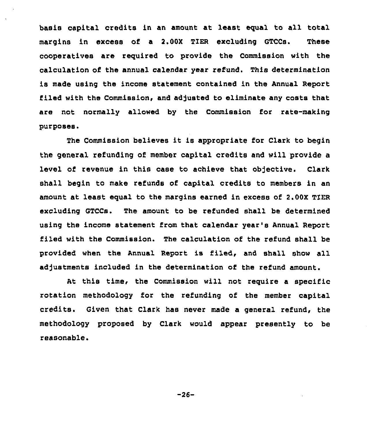basis capital credits in an amount at least equal to all total margins in excess of a 2.00X TIER excluding GTCCs. These cooperatives are required to provide the Commission with the calculation of the annual calendar year refund. This determination is made using the income statement contained in the Annual Report filed with the Commission, and adjusted to eliminate any costs that are not normally allowed by the Commission for rate-making purposes,

The Commission believes it is appropriate for Clark to begin the general refunding of member capital credits and will provide a level of revenue in this case to achieve that objective. Clark shall begin to make refunds of capital credits to members in an amount at least equal to the margins earned in excess of 2.00X TIER excluding GTCCs. The amount to be refunded shall be determined using the income statement from that calendar year's Annual Report filed with the Commission. The calculation of the refund shall be provided when the Annual Report is filed, and shall show all adjustments included in the determination of the refund amount.

At this time, the Commission will not require a specific rotation methodology for the refunding of the member capital credits. Given that Clark has never made a general refund, the methodology proposed by Clark would appear presently to be reasonable.

-26-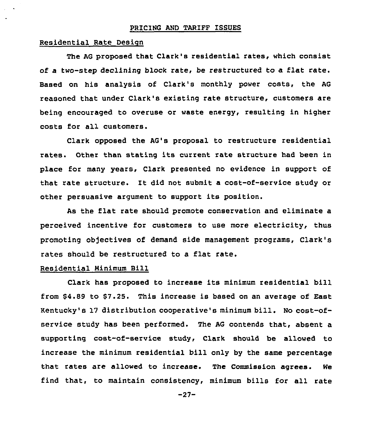#### PRICING AND TARIFF ISSUES

#### Residential Rate Design

The AG proposed that Clark's residential rates, which consist of a two-step declining block rate, be restructured to a flat rate. Based on his analysis of Clark's monthly power costs, the AG reasoned that under Clark's existing rate structure, customers are being encouraged to overuse or waste energy, resulting in higher costs for all customers.

Clark opposed the AG's proposal to restructure residential rates. Other than stating its current rate structure had been in place for many years, Clark presented no evidence in support of that rate structure. It did not submit a cost-of-service study or other persuasive argument to support its position.

As the flat rate should promote conservation and eliminate a perceived incentive for customers to use more electricity, thus promoting objectives of demand side management programs, Clark's rates should be restructured to a flat rate.

## Residential Minimum Bill

Clark has proposed to increase its minimum residential bill from \$4.89 to \$7.25. This increase is based on an average of East Kentucky's <sup>17</sup> distribution cooperative's minimum bill. No cost-ofservice study has been performed. The AG contends that, absent a supporting cost-of-service study, Clark should be allowed to increase the minimum residential bill only by the same percentage that rates are allowed to increase. The Commission agrees. We find that, to maintain consistency, minimum bills for all rate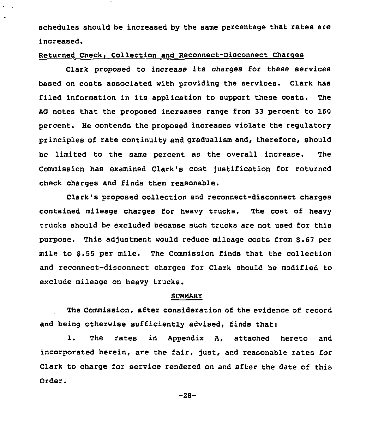schedules should be increased by the same percentage that rates are increased.

## Returned Check, Collection and Reconnect-Disconnect Charges

Clark proposed to increase its charges for these services based on costs associated with providing the services. Clark has filed information in its application to support these costs. The AG notes that the proposed increases range from 33 percent to 160 percent. He contends the proposed increases violate the regulatory principles of rate continuity and gradualism and, therefore, should be limited to the same percent as the overall increase. The Commission has examined Clark's cost justification for returned check charges and finds them reasonable.

Clark's proposed collection and reconnect-disconnect charges contained mileage charges for heavy trucks. The cost of heavy trucks should be excluded because such trucks are not used for this purpose. This adjustment would reduce mileage costs from \$.67 per mile to 6.55 per mile. The Commission finds that the collection and reconnect-disconnect charges for Clark should be modified to exclude mileage on heavy trucks.

#### SUNNARY

The Commission, after consideration of the evidence of record and being otherwise sufficiently advised, finds that:

1. The rates in Appendix A, attached hereto and incorporated herein, are the fair, just, and reasonable rates for Clark to charge for service rendered on and after the date of this Order.

-28-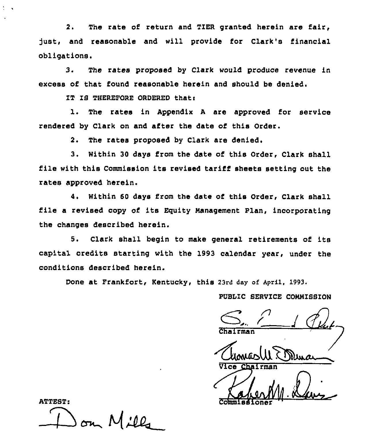2. The rate of return and TIER granted herein are fair, just, and reasonable and will provide for Clark's financial obligations.

3. The rates proposed by Clark would produce revenue in excess of that found reasonable herein and should be denied.

IT IS THEREFORE ORDERED thati

1. The rates in Appendix <sup>A</sup> are approved for service rendered by Clark on and after the date of this Order.

2. The rates proposed by Clark are denied,

3. Within 30 days from the date of this Order, Clark shall file with this Commission its revised tariff sheets setting out the rates approved herein.

4. Within 60 days from the date of this Order, Clark shall file <sup>a</sup> revised copy of its Equity Management Plan, incorporating the changes described herein.

5. Clark shall begin to make general retirements of its capital credits starting with the 1993 calendar year, under the conditions described herein.

Done at Frankfort, Kentucky, this 23rd day of April, 1993.

PUBLIC SERVICE COMMISSION

Vice Chairman

Commissione

ATTEST:  $\rightarrow$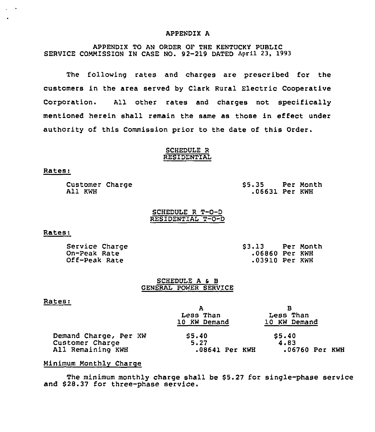#### APPENDIX A

## APPENDIX TQ AN ORDER OF THE KENTUCKy PUBLIC SERVICE COMMISSION IN CASE NO. 92-219 DATED April 23, 1993

The following rates and charges are prescribed for the customers in the area served by Clark Rural Electric Cooperative Corporation. All other rates and charges not specifically mentioned herein shall remain the same as those in effect under authority of this Commission prior to the date of this Order.

#### SCHEDULE R RESIDENTIAL

#### Rates:

Customer Charge All KWH

\$ 5.35 Per Month .06631 Per KWH

SCHEDULE R T-O-D RESIDENTIAL T-O-D

## Rates:

Service Charge On-Peak Rate Off-Peak Rate

\$ 3.13 Per Month .06860 Per KWH .03910 Per KWH

#### SCHEDULE A & B GENERAL POWER SERV1CE

#### Rates:

|                       | А              | в              |
|-----------------------|----------------|----------------|
|                       | Less Than      | Less Than      |
|                       | 10 KW Demand   | 10 KW Demand   |
| Demand Charge, Per KW | 55.40          | \$5.40         |
| Customer Charge       | 5.27           | 4.83           |
| All Remaining KWH     | .08641 Per KWH | .06760 Per KWH |

## Minimum Monthly Charge

The minimum monthly charge shall be \$5.27 for single-phase service and \$28.37 for three-phase service.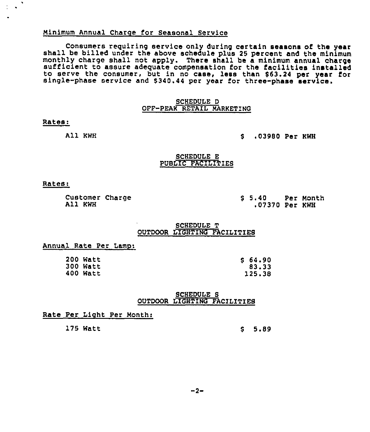## Minimum Annual Charge for Seasonal Service

Consumers reguiring service only during certain seasons of the year shall be billed under the above schedule plus <sup>25</sup> percent and the minimum monthly charge shall not apply. There shall be <sup>a</sup> minimum annual charge sufficient to assure adeguate compensation for the facilities installed to serve the consumer, but in no case, less than \$ 63.24 per year for single-phase service and \$ 340.44 per year for three-phase service.

## SCHEDULE D OFF-PEAK RETAIL MARKETING

#### Rates:

All KWH

8 .03980 Per KWH

#### SCHEDULE E PUBLIC FACILITIES

#### Rates:

Customer Charge All KWH

<sup>8</sup> 5.40 Per Month .07370 Per KWH

## SCHEDULE T OUTDOOR LIGHTING FACILITIES

## Annual Rate Per Lamp:

| 200 Watt |
|----------|
| 300 Watt |
| 400 Watt |

<sup>8</sup> 64.90 83.33 125.38

#### SCHEDULE S OUTDOOR LIGHTING FACILITIES

#### Rate Per Light Per Month:

175 Watt \$ 5.89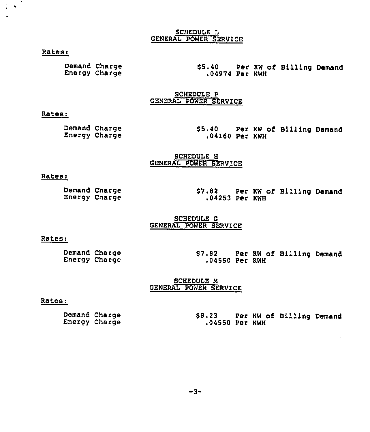## SCHEDULE L GENERAL POWER SERVICE

## Rates:

 $\mathcal{A}$  $\bullet$ 

> Demand Charge Energy Charge

\$5.40 Per KW of Billing Deman ,04974 Per KWH

SCHEDULE P GENERAL POWER SERVICE

## Rates:

Demand Charge Energy Charge

\$ 5.40 Per KW of Billing Demand .04160 Per KWH

SCHEDULE H GENERAL POWER SERVICE

#### Rates:

Demand Charge Energy Charge \$7.82 Per KW of Billing Demand .04253 Per KWH

#### SCHEDULE G GENERAL POWER SERVICE

## Rates:

## SCHEDULE M GENERAL POWER SERVICE

#### Rates:

Demand Charge Energy Charge \$8.23 Per KW of Billing Demand .04550 Per KWH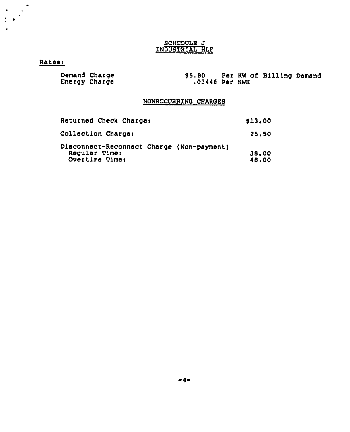# **BCHEDULE J** INDUSTRIAL HLP

# Rateei

 $\bullet$ 

| Demand Charge | <b>S5.80</b>   |  | Per KW of Billing Demand |  |
|---------------|----------------|--|--------------------------|--|
| Energy Charge | .03446 Per KWH |  |                          |  |

# NONRECURRING CHAROES

| Returned Check Charge:                                                       | \$13.00        |
|------------------------------------------------------------------------------|----------------|
| Collection Charge:                                                           | 25.50          |
| Disconnect-Reconnect Charge (Non-payment)<br>Regular Time:<br>Overtime Time: | 38.00<br>48.00 |